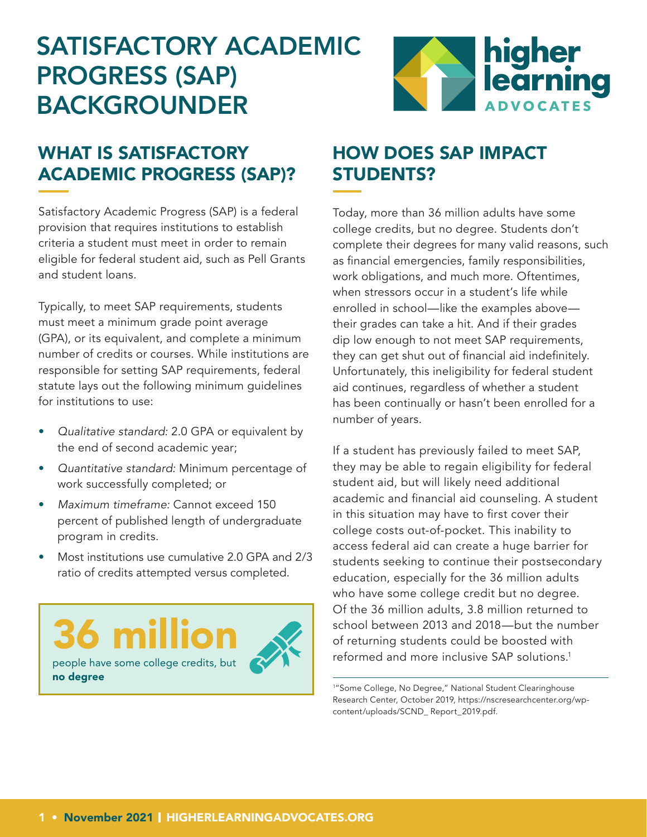# SATISFACTORY ACADEMIC PROGRESS (SAP) BACKGROUNDER



## WHAT IS SATISFACTORY ACADEMIC PROGRESS (SAP)?

Satisfactory Academic Progress (SAP) is a federal provision that requires institutions to establish criteria a student must meet in order to remain eligible for federal student aid, such as Pell Grants and student loans.

Typically, to meet SAP requirements, students must meet a minimum grade point average (GPA), or its equivalent, and complete a minimum number of credits or courses. While institutions are responsible for setting SAP requirements, federal statute lays out the following minimum guidelines for institutions to use:

- *Qualitative standard:* 2.0 GPA or equivalent by the end of second academic year;
- *Quantitative standard:* Minimum percentage of work successfully completed; or
- *Maximum timeframe:* Cannot exceed 150 percent of published length of undergraduate program in credits.
- Most institutions use cumulative 2.0 GPA and 2/3 ratio of credits attempted versus completed.

36 million people have some college credits, but no degree

### HOW DOES SAP IMPACT STUDENTS?

Today, more than 36 million adults have some college credits, but no degree. Students don't complete their degrees for many valid reasons, such as financial emergencies, family responsibilities, work obligations, and much more. Oftentimes, when stressors occur in a student's life while enrolled in school—like the examples above their grades can take a hit. And if their grades dip low enough to not meet SAP requirements, they can get shut out of financial aid indefinitely. Unfortunately, this ineligibility for federal student aid continues, regardless of whether a student has been continually or hasn't been enrolled for a number of years.

If a student has previously failed to meet SAP, they may be able to regain eligibility for federal student aid, but will likely need additional academic and financial aid counseling. A student in this situation may have to first cover their college costs out-of-pocket. This inability to access federal aid can create a huge barrier for students seeking to continue their postsecondary education, especially for the 36 million adults who have some college credit but no degree. Of the 36 million adults, 3.8 million returned to school between 2013 and 2018—but the number of returning students could be boosted with reformed and more inclusive SAP solutions.1

1 "Some College, No Degree," National Student Clearinghouse Research Center, October 2019, https://nscresearchcenter.org/wpcontent/uploads/SCND\_ Report\_2019.pdf.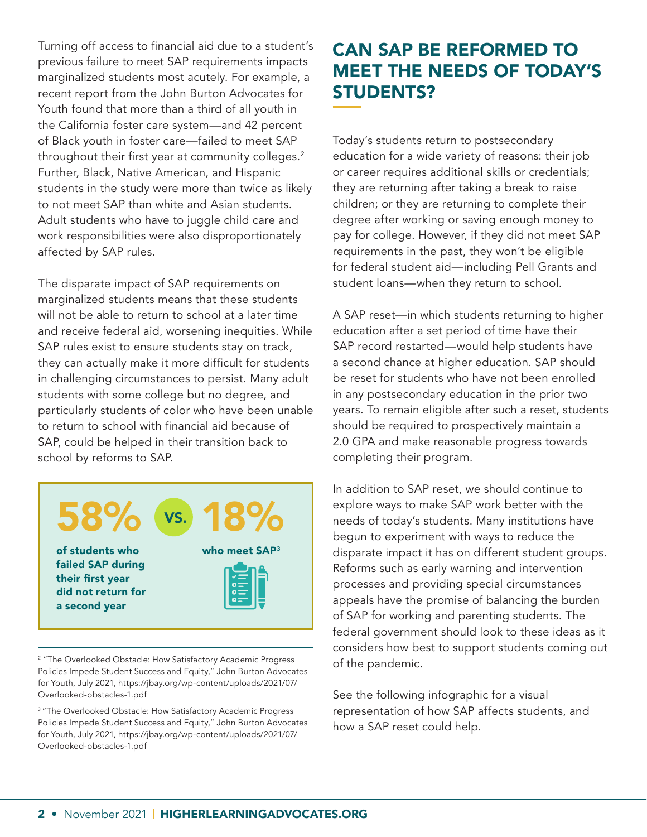Turning off access to financial aid due to a student's previous failure to meet SAP requirements impacts marginalized students most acutely. For example, a recent report from the John Burton Advocates for Youth found that more than a third of all youth in the California foster care system—and 42 percent of Black youth in foster care—failed to meet SAP throughout their first year at community colleges.<sup>2</sup> Further, Black, Native American, and Hispanic students in the study were more than twice as likely to not meet SAP than white and Asian students. Adult students who have to juggle child care and work responsibilities were also disproportionately affected by SAP rules.

The disparate impact of SAP requirements on marginalized students means that these students will not be able to return to school at a later time and receive federal aid, worsening inequities. While SAP rules exist to ensure students stay on track, they can actually make it more difficult for students in challenging circumstances to persist. Many adult students with some college but no degree, and particularly students of color who have been unable to return to school with financial aid because of SAP, could be helped in their transition back to school by reforms to SAP.



<sup>2</sup> "The Overlooked Obstacle: How Satisfactory Academic Progress Policies Impede Student Success and Equity," John Burton Advocates for Youth, July 2021, https://jbay.org/wp-content/uploads/2021/07/ Overlooked-obstacles-1.pdf

<sup>3</sup> "The Overlooked Obstacle: How Satisfactory Academic Progress Policies Impede Student Success and Equity," John Burton Advocates for Youth, July 2021, https://jbay.org/wp-content/uploads/2021/07/ Overlooked-obstacles-1.pdf

#### CAN SAP BE REFORMED TO MEET THE NEEDS OF TODAY'S STUDENTS?

Today's students return to postsecondary education for a wide variety of reasons: their job or career requires additional skills or credentials; they are returning after taking a break to raise children; or they are returning to complete their degree after working or saving enough money to pay for college. However, if they did not meet SAP requirements in the past, they won't be eligible for federal student aid—including Pell Grants and student loans—when they return to school.

A SAP reset—in which students returning to higher education after a set period of time have their SAP record restarted—would help students have a second chance at higher education. SAP should be reset for students who have not been enrolled in any postsecondary education in the prior two years. To remain eligible after such a reset, students should be required to prospectively maintain a 2.0 GPA and make reasonable progress towards completing their program.

In addition to SAP reset, we should continue to explore ways to make SAP work better with the needs of today's students. Many institutions have begun to experiment with ways to reduce the disparate impact it has on different student groups. Reforms such as early warning and intervention processes and providing special circumstances appeals have the promise of balancing the burden of SAP for working and parenting students. The federal government should look to these ideas as it considers how best to support students coming out of the pandemic.

See the following infographic for a visual representation of how SAP affects students, and how a SAP reset could help.